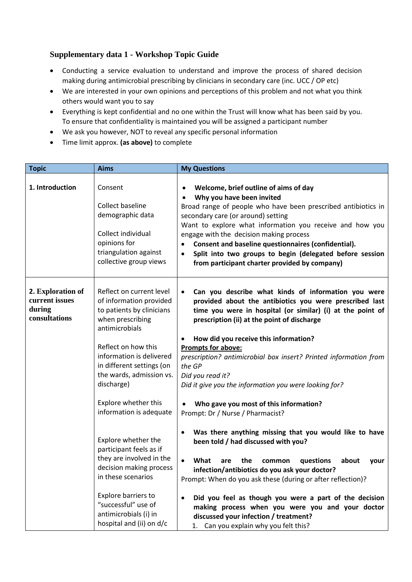## **Supplementary data 1 - Workshop Topic Guide**

- Conducting a service evaluation to understand and improve the process of shared decision making during antimicrobial prescribing by clinicians in secondary care (inc. UCC / OP etc)
- We are interested in your own opinions and perceptions of this problem and not what you think others would want you to say
- Everything is kept confidential and no one within the Trust will know what has been said by you. To ensure that confidentiality is maintained you will be assigned a participant number
- We ask you however, NOT to reveal any specific personal information
- Time limit approx. **(as above)** to complete

| <b>Topic</b>                                                   | <b>Aims</b>                                                                                                                                                                                                                                                                                         | <b>My Questions</b>                                                                                                                                                                                                                                                                                                                                                                                                                                                                                                                                                  |
|----------------------------------------------------------------|-----------------------------------------------------------------------------------------------------------------------------------------------------------------------------------------------------------------------------------------------------------------------------------------------------|----------------------------------------------------------------------------------------------------------------------------------------------------------------------------------------------------------------------------------------------------------------------------------------------------------------------------------------------------------------------------------------------------------------------------------------------------------------------------------------------------------------------------------------------------------------------|
| 1. Introduction                                                | Consent<br><b>Collect baseline</b><br>demographic data<br>Collect individual<br>opinions for<br>triangulation against<br>collective group views                                                                                                                                                     | Welcome, brief outline of aims of day<br>$\bullet$<br>Why you have been invited<br>$\bullet$<br>Broad range of people who have been prescribed antibiotics in<br>secondary care (or around) setting<br>Want to explore what information you receive and how you<br>engage with the decision making process<br>Consent and baseline questionnaires (confidential).<br>$\bullet$<br>Split into two groups to begin (delegated before session<br>$\bullet$<br>from participant charter provided by company)                                                             |
| 2. Exploration of<br>current issues<br>during<br>consultations | Reflect on current level<br>of information provided<br>to patients by clinicians<br>when prescribing<br>antimicrobials<br>Reflect on how this<br>information is delivered<br>in different settings (on<br>the wards, admission vs.<br>discharge)<br>Explore whether this<br>information is adequate | Can you describe what kinds of information you were<br>$\bullet$<br>provided about the antibiotics you were prescribed last<br>time you were in hospital (or similar) (i) at the point of<br>prescription (ii) at the point of discharge<br>How did you receive this information?<br>$\bullet$<br><b>Prompts for above:</b><br>prescription? antimicrobial box insert? Printed information from<br>the GP<br>Did you read it?<br>Did it give you the information you were looking for?<br>Who gave you most of this information?<br>Prompt: Dr / Nurse / Pharmacist? |
|                                                                | Explore whether the<br>participant feels as if<br>they are involved in the<br>decision making process<br>in these scenarios<br>Explore barriers to<br>"successful" use of<br>antimicrobials (i) in<br>hospital and (ii) on d/c                                                                      | Was there anything missing that you would like to have<br>been told / had discussed with you?<br>What<br>the<br>questions<br>$\bullet$<br>about<br>are<br>common<br>your<br>infection/antibiotics do you ask your doctor?<br>Prompt: When do you ask these (during or after reflection)?<br>Did you feel as though you were a part of the decision<br>$\bullet$<br>making process when you were you and your doctor<br>discussed your infection / treatment?<br>1. Can you explain why you felt this?                                                                |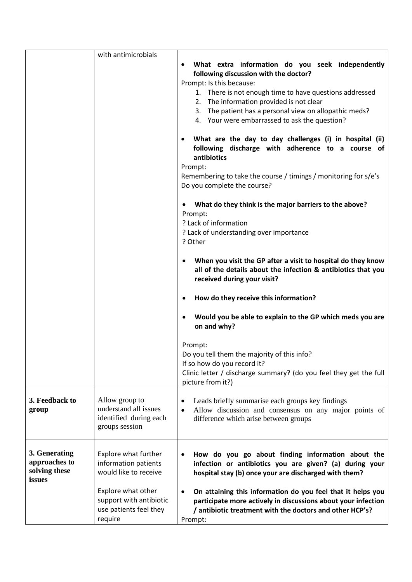|                                                           | with antimicrobials                                                                 |                                                                                                                                                                                                                                                                                                                                                                                                                                                                   |
|-----------------------------------------------------------|-------------------------------------------------------------------------------------|-------------------------------------------------------------------------------------------------------------------------------------------------------------------------------------------------------------------------------------------------------------------------------------------------------------------------------------------------------------------------------------------------------------------------------------------------------------------|
|                                                           |                                                                                     | What extra information do you seek independently<br>٠<br>following discussion with the doctor?<br>Prompt: Is this because:<br>1. There is not enough time to have questions addressed<br>2. The information provided is not clear<br>3. The patient has a personal view on allopathic meds?<br>4. Your were embarrassed to ask the question?<br>What are the day to day challenges (i) in hospital (ii)<br>٠<br>following discharge with adherence to a course of |
|                                                           |                                                                                     | antibiotics<br>Prompt:<br>Remembering to take the course / timings / monitoring for s/e's<br>Do you complete the course?                                                                                                                                                                                                                                                                                                                                          |
|                                                           |                                                                                     | What do they think is the major barriers to the above?<br>Prompt:<br>? Lack of information<br>? Lack of understanding over importance<br>? Other                                                                                                                                                                                                                                                                                                                  |
|                                                           |                                                                                     | When you visit the GP after a visit to hospital do they know<br>all of the details about the infection & antibiotics that you<br>received during your visit?                                                                                                                                                                                                                                                                                                      |
|                                                           |                                                                                     | How do they receive this information?                                                                                                                                                                                                                                                                                                                                                                                                                             |
|                                                           |                                                                                     | Would you be able to explain to the GP which meds you are<br>on and why?                                                                                                                                                                                                                                                                                                                                                                                          |
|                                                           |                                                                                     | Prompt:<br>Do you tell them the majority of this info?<br>If so how do you record it?<br>Clinic letter / discharge summary? (do you feel they get the full<br>picture from it?)                                                                                                                                                                                                                                                                                   |
| 3. Feedback to<br>group                                   | Allow group to<br>understand all issues<br>identified during each<br>groups session | Leads briefly summarise each groups key findings<br>٠<br>Allow discussion and consensus on any major points of<br>$\bullet$<br>difference which arise between groups                                                                                                                                                                                                                                                                                              |
| 3. Generating<br>approaches to<br>solving these<br>issues | Explore what further<br>information patients<br>would like to receive               | How do you go about finding information about the<br>$\bullet$<br>infection or antibiotics you are given? (a) during your<br>hospital stay (b) once your are discharged with them?                                                                                                                                                                                                                                                                                |
|                                                           | Explore what other<br>support with antibiotic<br>use patients feel they<br>require  | On attaining this information do you feel that it helps you<br>$\bullet$<br>participate more actively in discussions about your infection<br>/ antibiotic treatment with the doctors and other HCP's?<br>Prompt:                                                                                                                                                                                                                                                  |